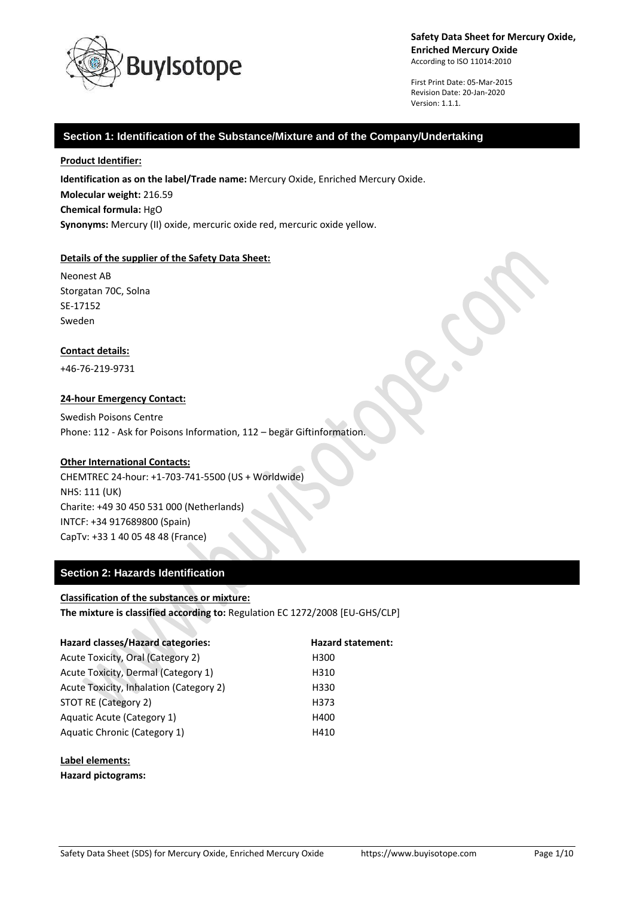

First Print Date: 05-Mar-2015 Revision Date: 20-Jan-2020 Version: 1.1.1.

# **Section 1: Identification of the Substance/Mixture and of the Company/Undertaking**

## **Product Identifier:**

**Identification as on the label/Trade name:** Mercury Oxide, Enriched Mercury Oxide. **Molecular weight:** 216.59 **Chemical formula:** HgO **Synonyms:** Mercury (II) oxide, mercuric oxide red, mercuric oxide yellow.

## **Details of the supplier of the Safety Data Sheet:**

Neonest AB Storgatan 70C, Solna SE-17152 Sweden

## **Contact details:**

+46-76-219-9731

## **24-hour Emergency Contact:**

Swedish Poisons Centre Phone: 112 - Ask for Poisons Information, 112 – begär Giftinformation.

## **Other International Contacts:**

CHEMTREC 24-hour: +1-703-741-5500 (US + Worldwide) NHS: 111 (UK) Charite: +49 30 450 531 000 (Netherlands) INTCF: +34 917689800 (Spain) CapTv: +33 1 40 05 48 48 (France)

# **Section 2: Hazards Identification**

## **Classification of the substances or mixture:**

**The mixture is classified according to:** Regulation EC 1272/2008 [EU-GHS/CLP]

| <b>Hazard classes/Hazard categories:</b> | <b>Hazard statement:</b> |
|------------------------------------------|--------------------------|
| Acute Toxicity, Oral (Category 2)        | H <sub>300</sub>         |
| Acute Toxicity, Dermal (Category 1)      | H310                     |
| Acute Toxicity, Inhalation (Category 2)  | H330                     |
| STOT RE (Category 2)                     | H373                     |
| Aquatic Acute (Category 1)               | H400                     |
| Aquatic Chronic (Category 1)             | H410                     |
|                                          |                          |

**Label elements:**

**Hazard pictograms:**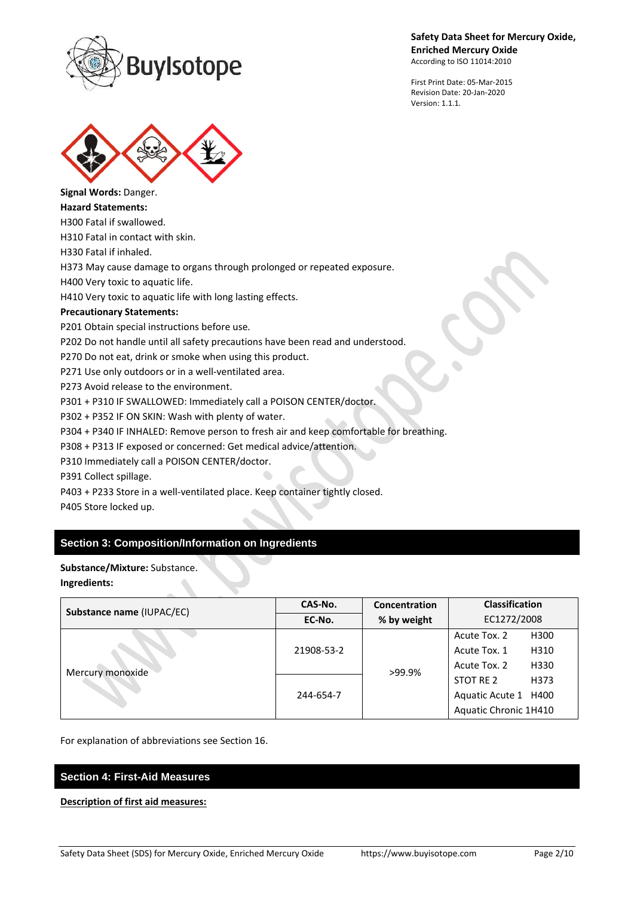

First Print Date: 05-Mar-2015 Revision Date: 20-Jan-2020 Version: 1.1.1.



**Signal Words:** Danger. **Hazard Statements:**

H300 Fatal if swallowed.

H310 Fatal in contact with skin.

H330 Fatal if inhaled.

H373 May cause damage to organs through prolonged or repeated exposure.

H400 Very toxic to aquatic life.

H410 Very toxic to aquatic life with long lasting effects.

# **Precautionary Statements:**

P201 Obtain special instructions before use.

P202 Do not handle until all safety precautions have been read and understood.

P270 Do not eat, drink or smoke when using this product.

P271 Use only outdoors or in a well-ventilated area.

P273 Avoid release to the environment.

P301 + P310 IF SWALLOWED: Immediately call a POISON CENTER/doctor.

P302 + P352 IF ON SKIN: Wash with plenty of water.

P304 + P340 IF INHALED: Remove person to fresh air and keep comfortable for breathing.

P308 + P313 IF exposed or concerned: Get medical advice/attention.

P310 Immediately call a POISON CENTER/doctor.

P391 Collect spillage.

P403 + P233 Store in a well-ventilated place. Keep container tightly closed.

P405 Store locked up.

# **Section 3: Composition/Information on Ingredients**

# **Substance/Mixture:** Substance.

## **Ingredients:**

| Substance name (IUPAC/EC) | CAS-No.    | Concentration | <b>Classification</b> |
|---------------------------|------------|---------------|-----------------------|
|                           | EC-No.     | % by weight   | EC1272/2008           |
| Mercury monoxide          | 21908-53-2 | >99.9%        | H300<br>Acute Tox. 2  |
|                           |            |               | Acute Tox. 1<br>H310  |
|                           |            |               | H330<br>Acute Tox. 2  |
|                           | 244-654-7  |               | STOT RE 2<br>H373     |
|                           |            |               | Aquatic Acute 1 H400  |
|                           |            |               | Aquatic Chronic 1H410 |

For explanation of abbreviations see Section 16.

# **Section 4: First-Aid Measures**

## **Description of first aid measures:**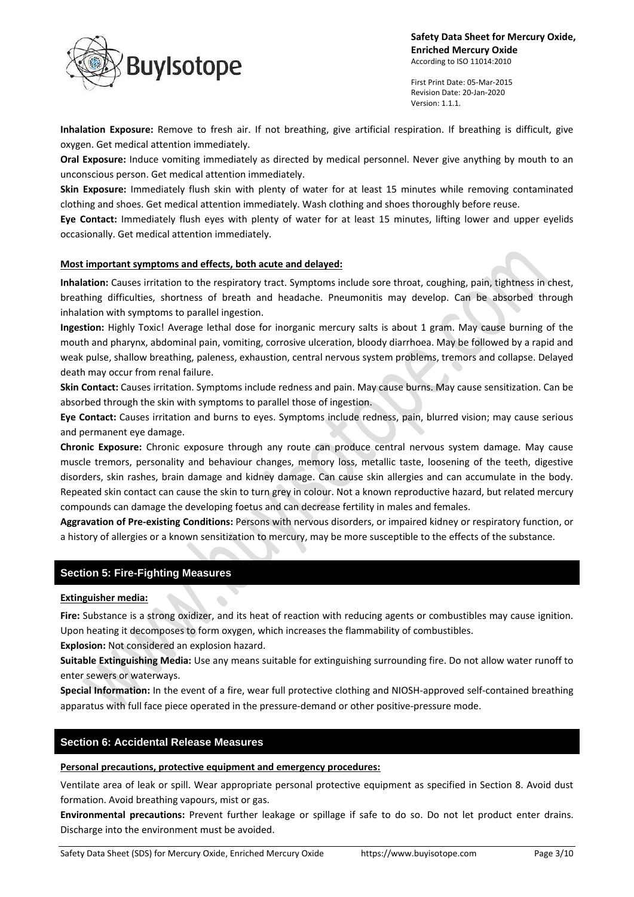

First Print Date: 05-Mar-2015 Revision Date: 20-Jan-2020 Version: 1.1.1.

**Inhalation Exposure:** Remove to fresh air. If not breathing, give artificial respiration. If breathing is difficult, give oxygen. Get medical attention immediately.

**Oral Exposure:** Induce vomiting immediately as directed by medical personnel. Never give anything by mouth to an unconscious person. Get medical attention immediately.

**Skin Exposure:** Immediately flush skin with plenty of water for at least 15 minutes while removing contaminated clothing and shoes. Get medical attention immediately. Wash clothing and shoes thoroughly before reuse.

**Eye Contact:** Immediately flush eyes with plenty of water for at least 15 minutes, lifting lower and upper eyelids occasionally. Get medical attention immediately.

# **Most important symptoms and effects, both acute and delayed:**

**Inhalation:** Causes irritation to the respiratory tract. Symptoms include sore throat, coughing, pain, tightness in chest, breathing difficulties, shortness of breath and headache. Pneumonitis may develop. Can be absorbed through inhalation with symptoms to parallel ingestion.

**Ingestion:** Highly Toxic! Average lethal dose for inorganic mercury salts is about 1 gram. May cause burning of the mouth and pharynx, abdominal pain, vomiting, corrosive ulceration, bloody diarrhoea. May be followed by a rapid and weak pulse, shallow breathing, paleness, exhaustion, central nervous system problems, tremors and collapse. Delayed death may occur from renal failure.

**Skin Contact:** Causes irritation. Symptoms include redness and pain. May cause burns. May cause sensitization. Can be absorbed through the skin with symptoms to parallel those of ingestion.

**Eye Contact:** Causes irritation and burns to eyes. Symptoms include redness, pain, blurred vision; may cause serious and permanent eye damage.

**Chronic Exposure:** Chronic exposure through any route can produce central nervous system damage. May cause muscle tremors, personality and behaviour changes, memory loss, metallic taste, loosening of the teeth, digestive disorders, skin rashes, brain damage and kidney damage. Can cause skin allergies and can accumulate in the body. Repeated skin contact can cause the skin to turn grey in colour. Not a known reproductive hazard, but related mercury compounds can damage the developing foetus and can decrease fertility in males and females.

**Aggravation of Pre-existing Conditions:** Persons with nervous disorders, or impaired kidney or respiratory function, or a history of allergies or a known sensitization to mercury, may be more susceptible to the effects of the substance.

# **Section 5: Fire-Fighting Measures**

# **Extinguisher media:**

**Fire:** Substance is a strong oxidizer, and its heat of reaction with reducing agents or combustibles may cause ignition. Upon heating it decomposes to form oxygen, which increases the flammability of combustibles.

**Explosion:** Not considered an explosion hazard.

**Suitable Extinguishing Media:** Use any means suitable for extinguishing surrounding fire. Do not allow water runoff to enter sewers or waterways.

**Special Information:** In the event of a fire, wear full protective clothing and NIOSH-approved self-contained breathing apparatus with full face piece operated in the pressure-demand or other positive-pressure mode.

# **Section 6: Accidental Release Measures**

## **Personal precautions, protective equipment and emergency procedures:**

Ventilate area of leak or spill. Wear appropriate personal protective equipment as specified in Section 8. Avoid dust formation. Avoid breathing vapours, mist or gas.

**Environmental precautions:** Prevent further leakage or spillage if safe to do so. Do not let product enter drains. Discharge into the environment must be avoided.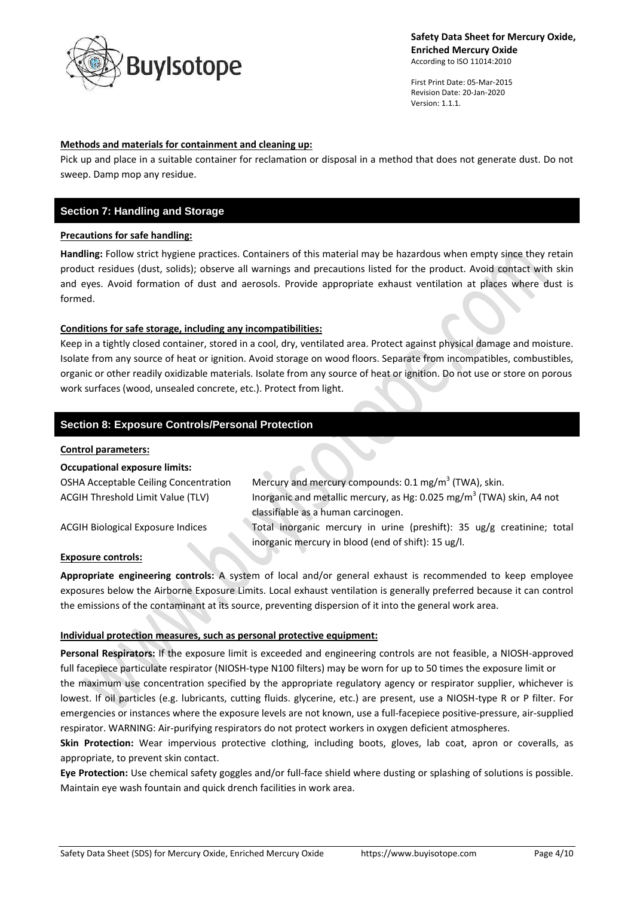

First Print Date: 05-Mar-2015 Revision Date: 20-Jan-2020 Version: 1.1.1.

# **Methods and materials for containment and cleaning up:**

Pick up and place in a suitable container for reclamation or disposal in a method that does not generate dust. Do not sweep. Damp mop any residue.

# **Section 7: Handling and Storage**

## **Precautions for safe handling:**

**Handling:** Follow strict hygiene practices. Containers of this material may be hazardous when empty since they retain product residues (dust, solids); observe all warnings and precautions listed for the product. Avoid contact with skin and eyes. Avoid formation of dust and aerosols. Provide appropriate exhaust ventilation at places where dust is formed.

## **Conditions for safe storage, including any incompatibilities:**

Keep in a tightly closed container, stored in a cool, dry, ventilated area. Protect against physical damage and moisture. Isolate from any source of heat or ignition. Avoid storage on wood floors. Separate from incompatibles, combustibles, organic or other readily oxidizable materials. Isolate from any source of heat or ignition. Do not use or store on porous work surfaces (wood, unsealed concrete, etc.). Protect from light.

# **Section 8: Exposure Controls/Personal Protection**

## **Control parameters:**

| <b>Occupational exposure limits:</b>         |                                                                                                                          |
|----------------------------------------------|--------------------------------------------------------------------------------------------------------------------------|
| <b>OSHA Acceptable Ceiling Concentration</b> | Mercury and mercury compounds: 0.1 mg/m <sup>3</sup> (TWA), skin.                                                        |
| <b>ACGIH Threshold Limit Value (TLV)</b>     | Inorganic and metallic mercury, as Hg: 0.025 mg/m <sup>3</sup> (TWA) skin, A4 not<br>classifiable as a human carcinogen. |
| <b>ACGIH Biological Exposure Indices</b>     | Total inorganic mercury in urine (preshift): 35 ug/g creatinine; total                                                   |
|                                              | inorganic mercury in blood (end of shift): 15 ug/l.                                                                      |

## **Exposure controls:**

**Appropriate engineering controls:** A system of local and/or general exhaust is recommended to keep employee exposures below the Airborne Exposure Limits. Local exhaust ventilation is generally preferred because it can control the emissions of the contaminant at its source, preventing dispersion of it into the general work area.

## **Individual protection measures, such as personal protective equipment:**

**Personal Respirators:** If the exposure limit is exceeded and engineering controls are not feasible, a NIOSH-approved full facepiece particulate respirator (NIOSH-type N100 filters) may be worn for up to 50 times the exposure limit or the maximum use concentration specified by the appropriate regulatory agency or respirator supplier, whichever is lowest. If oil particles (e.g. lubricants, cutting fluids. glycerine, etc.) are present, use a NIOSH-type R or P filter. For emergencies or instances where the exposure levels are not known, use a full-facepiece positive-pressure, air-supplied respirator. WARNING: Air-purifying respirators do not protect workers in oxygen deficient atmospheres.

**Skin Protection:** Wear impervious protective clothing, including boots, gloves, lab coat, apron or coveralls, as appropriate, to prevent skin contact.

**Eye Protection:** Use chemical safety goggles and/or full-face shield where dusting or splashing of solutions is possible. Maintain eye wash fountain and quick drench facilities in work area.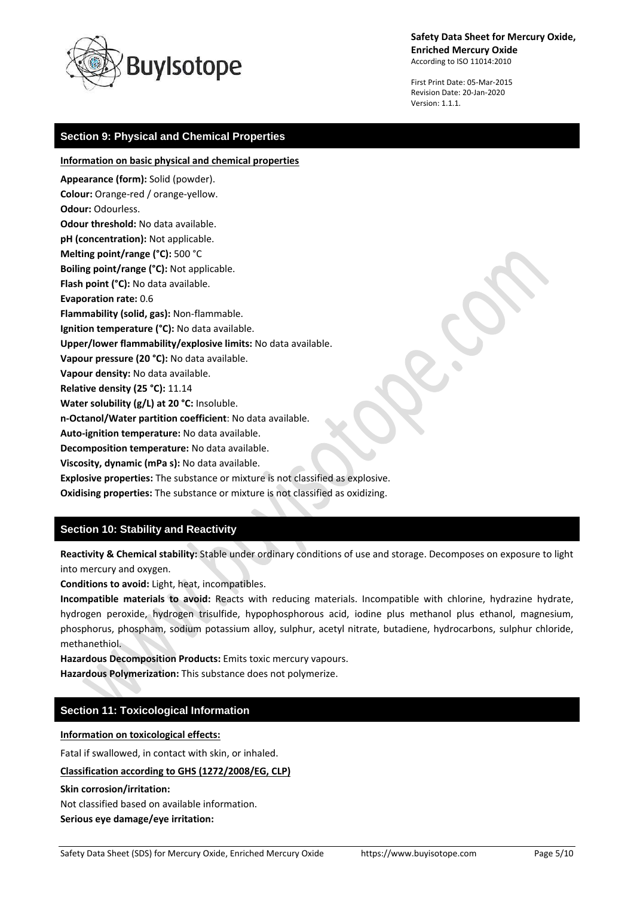

First Print Date: 05-Mar-2015 Revision Date: 20-Jan-2020 Version: 1.1.1.

# **Section 9: Physical and Chemical Properties**

**Information on basic physical and chemical properties**

**Appearance (form):** Solid (powder). **Colour:** Orange-red / orange-yellow. **Odour:** Odourless. **Odour threshold:** No data available. **pH (concentration):** Not applicable. **Melting point/range (°C):** 500 °C **Boiling point/range (°C):** Not applicable. **Flash point (°C):** No data available. **Evaporation rate:** 0.6 **Flammability (solid, gas):** Non-flammable. **Ignition temperature (°C):** No data available. **Upper/lower flammability/explosive limits:** No data available. **Vapour pressure (20 °C):** No data available. **Vapour density:** No data available. **Relative density (25 °C):** 11.14 **Water solubility (g/L) at 20 °C:** Insoluble. **n-Octanol/Water partition coefficient**: No data available. **Auto-ignition temperature:** No data available. **Decomposition temperature:** No data available. **Viscosity, dynamic (mPa s):** No data available. **Explosive properties:** The substance or mixture is not classified as explosive. **Oxidising properties:** The substance or mixture is not classified as oxidizing.

# **Section 10: Stability and Reactivity**

**Reactivity & Chemical stability:** Stable under ordinary conditions of use and storage. Decomposes on exposure to light into mercury and oxygen.

**Conditions to avoid:** Light, heat, incompatibles.

**Incompatible materials to avoid:** Reacts with reducing materials. Incompatible with chlorine, hydrazine hydrate, hydrogen peroxide, hydrogen trisulfide, hypophosphorous acid, iodine plus methanol plus ethanol, magnesium, phosphorus, phospham, sodium potassium alloy, sulphur, acetyl nitrate, butadiene, hydrocarbons, sulphur chloride, methanethiol.

**Hazardous Decomposition Products:** Emits toxic mercury vapours.

**Hazardous Polymerization:** This substance does not polymerize.

# **Section 11: Toxicological Information**

#### **Information on toxicological effects:**

Fatal if swallowed, in contact with skin, or inhaled.

## **Classification according to GHS (1272/2008/EG, CLP)**

## **Skin corrosion/irritation:**

Not classified based on available information.

#### **Serious eye damage/eye irritation:**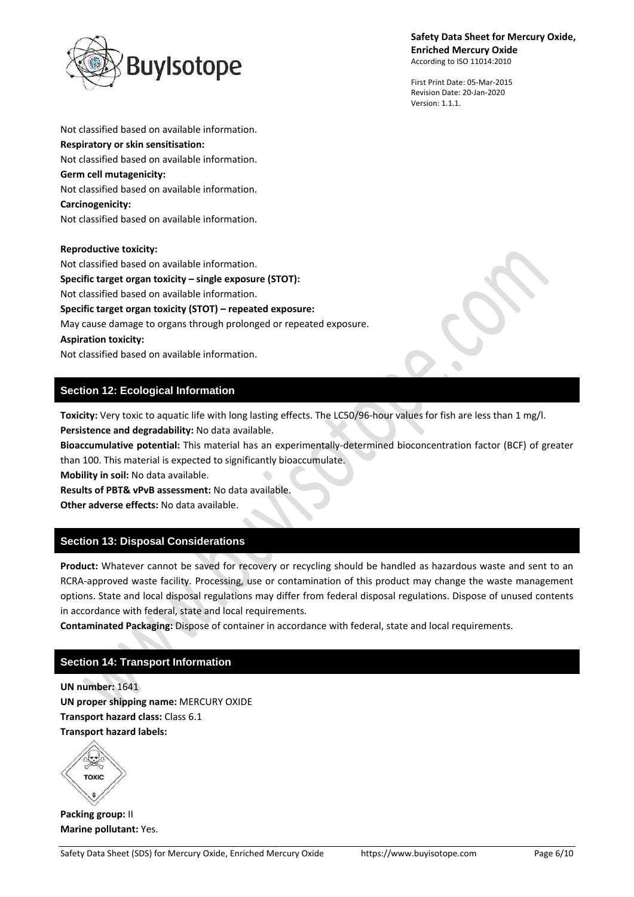

First Print Date: 05-Mar-2015 Revision Date: 20-Jan-2020 Version: 1.1.1.

**Respiratory or skin sensitisation:** Not classified based on available information. **Germ cell mutagenicity:** Not classified based on available information. **Carcinogenicity:** Not classified based on available information.

Not classified based on available information.

## **Reproductive toxicity:**

Not classified based on available information. **Specific target organ toxicity – single exposure (STOT):** Not classified based on available information. **Specific target organ toxicity (STOT) – repeated exposure:** May cause damage to organs through prolonged or repeated exposure. **Aspiration toxicity:** Not classified based on available information.

# **Section 12: Ecological Information**

**Toxicity:** Very toxic to aquatic life with long lasting effects. The LC50/96-hour values for fish are less than 1 mg/l. **Persistence and degradability:** No data available.

**Bioaccumulative potential:** This material has an experimentally-determined bioconcentration factor (BCF) of greater than 100. This material is expected to significantly bioaccumulate.

**Mobility in soil:** No data available.

**Results of PBT& vPvB assessment:** No data available.

**Other adverse effects:** No data available.

# **Section 13: Disposal Considerations**

**Product:** Whatever cannot be saved for recovery or recycling should be handled as hazardous waste and sent to an RCRA-approved waste facility. Processing, use or contamination of this product may change the waste management options. State and local disposal regulations may differ from federal disposal regulations. Dispose of unused contents in accordance with federal, state and local requirements.

**Contaminated Packaging:** Dispose of container in accordance with federal, state and local requirements.

# **Section 14: Transport Information**

**UN number:** 1641 **UN proper shipping name:** MERCURY OXIDE **Transport hazard class:** Class 6.1 **Transport hazard labels:**

TOXIC

**Packing group:** II **Marine pollutant:** Yes.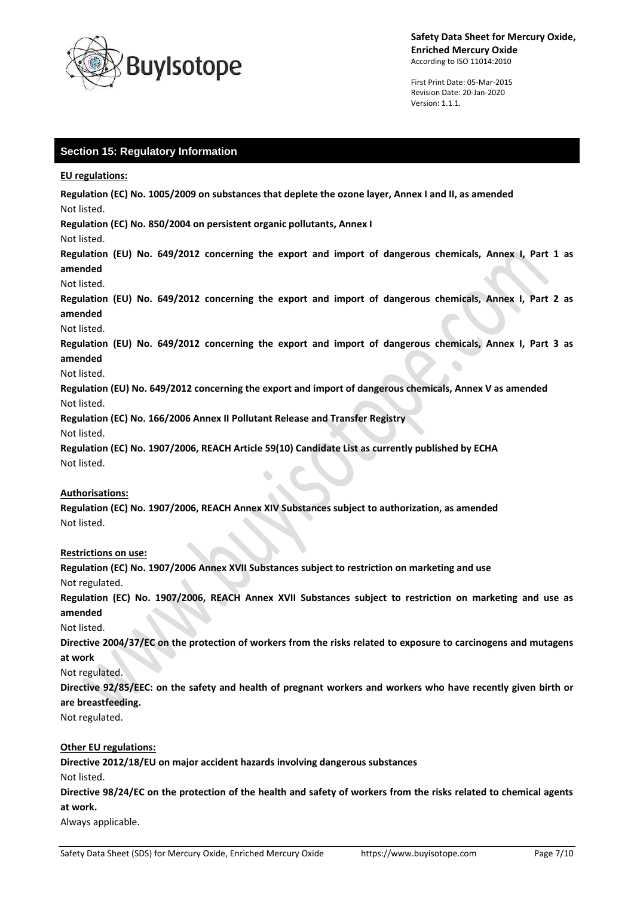

First Print Date: 05-Mar-2015 Revision Date: 20-Jan-2020 Version: 1.1.1.

# **Section 15: Regulatory Information**

## **EU regulations:**

**Regulation (EC) No. 1005/2009 on substances that deplete the ozone layer, Annex I and II, as amended** Not listed.

**Regulation (EC) No. 850/2004 on persistent organic pollutants, Annex I**

## Not listed.

**Regulation (EU) No. 649/2012 concerning the export and import of dangerous chemicals, Annex I, Part 1 as amended**

## Not listed.

**Regulation (EU) No. 649/2012 concerning the export and import of dangerous chemicals, Annex I, Part 2 as amended**

## Not listed.

**Regulation (EU) No. 649/2012 concerning the export and import of dangerous chemicals, Annex I, Part 3 as amended**  $\bullet$ 

## Not listed.

**Regulation (EU) No. 649/2012 concerning the export and import of dangerous chemicals, Annex V as amended** Not listed.

**Regulation (EC) No. 166/2006 Annex II Pollutant Release and Transfer Registry**

Not listed.

**Regulation (EC) No. 1907/2006, REACH Article 59(10) Candidate List as currently published by ECHA** Not listed.

## **Authorisations:**

**Regulation (EC) No. 1907/2006, REACH Annex XIV Substances subject to authorization, as amended** Not listed.

## **Restrictions on use:**

**Regulation (EC) No. 1907/2006 Annex XVII Substances subject to restriction on marketing and use** Not regulated.

**Regulation (EC) No. 1907/2006, REACH Annex XVII Substances subject to restriction on marketing and use as amended**

Not listed.

**Directive 2004/37/EC on the protection of workers from the risks related to exposure to carcinogens and mutagens at work**

# Not regulated.

**Directive 92/85/EEC: on the safety and health of pregnant workers and workers who have recently given birth or are breastfeeding.**

Not regulated.

# **Other EU regulations:**

**Directive 2012/18/EU on major accident hazards involving dangerous substances**

Not listed.

**Directive 98/24/EC on the protection of the health and safety of workers from the risks related to chemical agents at work.**

Always applicable.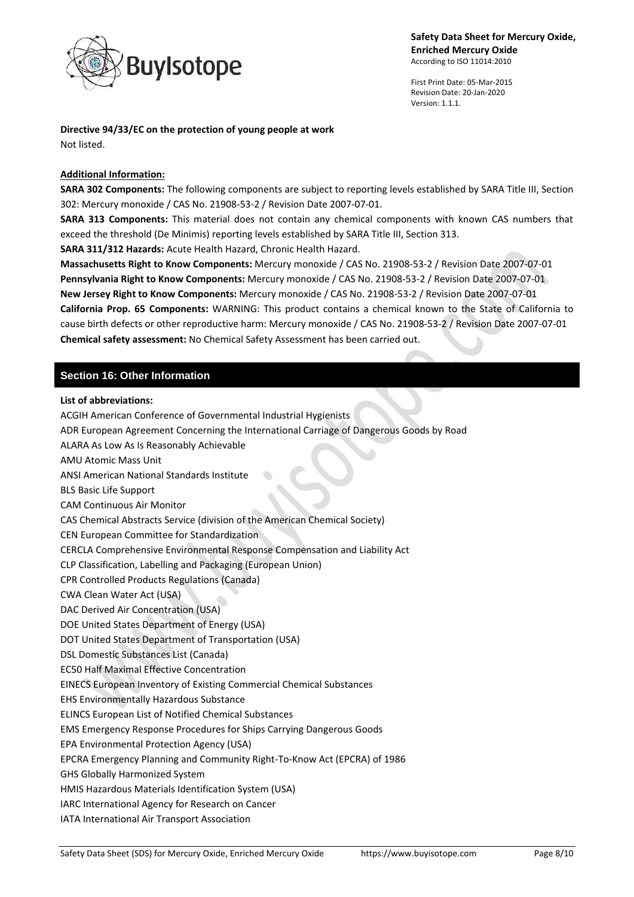

First Print Date: 05-Mar-2015 Revision Date: 20-Jan-2020 Version: 1.1.1.

**Directive 94/33/EC on the protection of young people at work** Not listed.

## **Additional Information:**

**SARA 302 Components:** The following components are subject to reporting levels established by SARA Title III, Section 302: Mercury monoxide / CAS No. 21908-53-2 / Revision Date 2007-07-01.

**SARA 313 Components:** This material does not contain any chemical components with known CAS numbers that exceed the threshold (De Minimis) reporting levels established by SARA Title III, Section 313.

**SARA 311/312 Hazards:** Acute Health Hazard, Chronic Health Hazard.

**Massachusetts Right to Know Components:** Mercury monoxide / CAS No. 21908-53-2 / Revision Date 2007-07-01 **Pennsylvania Right to Know Components:** Mercury monoxide / CAS No. 21908-53-2 / Revision Date 2007-07-01 **New Jersey Right to Know Components:** Mercury monoxide / CAS No. 21908-53-2 / Revision Date 2007-07-01 **California Prop. 65 Components:** WARNING: This product contains a chemical known to the State of California to cause birth defects or other reproductive harm: Mercury monoxide / CAS No. 21908-53-2 / Revision Date 2007-07-01 **Chemical safety assessment:** No Chemical Safety Assessment has been carried out.

# **Section 16: Other Information**

## **List of abbreviations:**

ACGIH American Conference of Governmental Industrial Hygienists

ADR European Agreement Concerning the International Carriage of Dangerous Goods by Road

ALARA As Low As Is Reasonably Achievable

AMU Atomic Mass Unit

ANSI American National Standards Institute

BLS Basic Life Support

CAM Continuous Air Monitor

CAS Chemical Abstracts Service (division of the American Chemical Society)

CEN European Committee for Standardization

CERCLA Comprehensive Environmental Response Compensation and Liability Act

CLP Classification, Labelling and Packaging (European Union)

CPR Controlled Products Regulations (Canada)

CWA Clean Water Act (USA)

DAC Derived Air Concentration (USA)

DOE United States Department of Energy (USA)

DOT United States Department of Transportation (USA)

DSL Domestic Substances List (Canada)

EC50 Half Maximal Effective Concentration

EINECS European Inventory of Existing Commercial Chemical Substances

EHS Environmentally Hazardous Substance

ELINCS European List of Notified Chemical Substances

EMS Emergency Response Procedures for Ships Carrying Dangerous Goods

EPA Environmental Protection Agency (USA)

EPCRA Emergency Planning and Community Right-To-Know Act (EPCRA) of 1986

GHS Globally Harmonized System

HMIS Hazardous Materials Identification System (USA)

IARC International Agency for Research on Cancer

IATA International Air Transport Association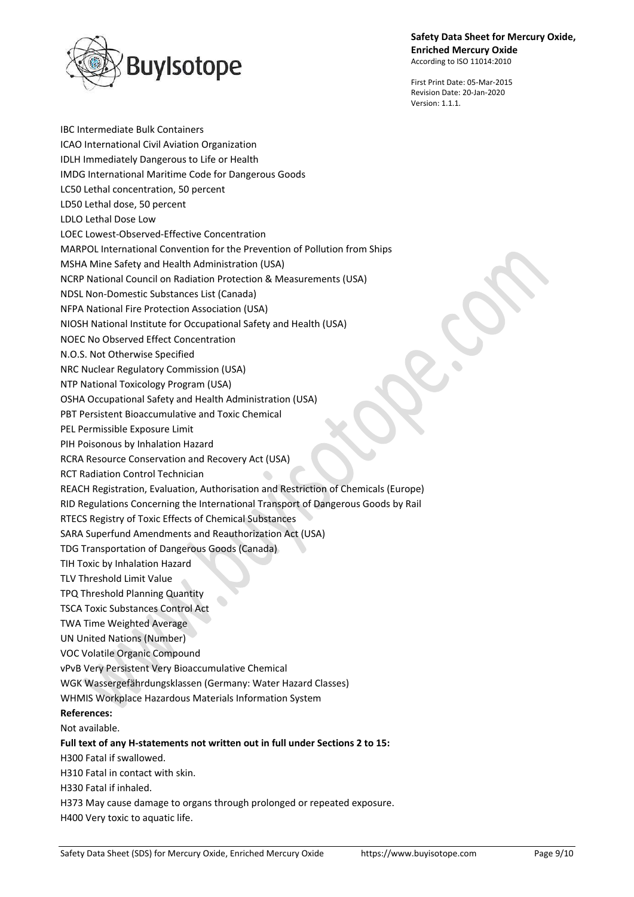

First Print Date: 05-Mar-2015 Revision Date: 20-Jan-2020 Version: 1.1.1

IBC Intermediate Bulk Containers ICAO International Civil Aviation Organization IDLH Immediately Dangerous to Life or Health IMDG International Maritime Code for Dangerous Goods LC50 Lethal concentration, 50 percent LD50 Lethal dose, 50 percent LDLO Lethal Dose Low LOEC Lowest-Observed-Effective Concentration MARPOL International Convention for the Prevention of Pollution from Ships MSHA Mine Safety and Health Administration (USA) NCRP National Council on Radiation Protection & Measurements (USA) NDSL Non-Domestic Substances List (Canada) NFPA National Fire Protection Association (USA) NIOSH National Institute for Occupational Safety and Health (USA) NOEC No Observed Effect Concentration N.O.S. Not Otherwise Specified NRC Nuclear Regulatory Commission (USA) NTP National Toxicology Program (USA) OSHA Occupational Safety and Health Administration (USA) PBT Persistent Bioaccumulative and Toxic Chemical PEL Permissible Exposure Limit PIH Poisonous by Inhalation Hazard RCRA Resource Conservation and Recovery Act (USA) RCT Radiation Control Technician REACH Registration, Evaluation, Authorisation and Restriction of Chemicals (Europe) RID Regulations Concerning the International Transport of Dangerous Goods by Rail RTECS Registry of Toxic Effects of Chemical Substances SARA Superfund Amendments and Reauthorization Act (USA) TDG Transportation of Dangerous Goods (Canada) TIH Toxic by Inhalation Hazard TLV Threshold Limit Value TPQ Threshold Planning Quantity TSCA Toxic Substances Control Act TWA Time Weighted Average UN United Nations (Number) VOC Volatile Organic Compound vPvB Very Persistent Very Bioaccumulative Chemical WGK Wassergefährdungsklassen (Germany: Water Hazard Classes) WHMIS Workplace Hazardous Materials Information System **References:** Not available. **Full text of any H-statements not written out in full under Sections 2 to 15:** H300 Fatal if swallowed. H310 Fatal in contact with skin. H330 Fatal if inhaled. H373 May cause damage to organs through prolonged or repeated exposure. H400 Very toxic to aquatic life.